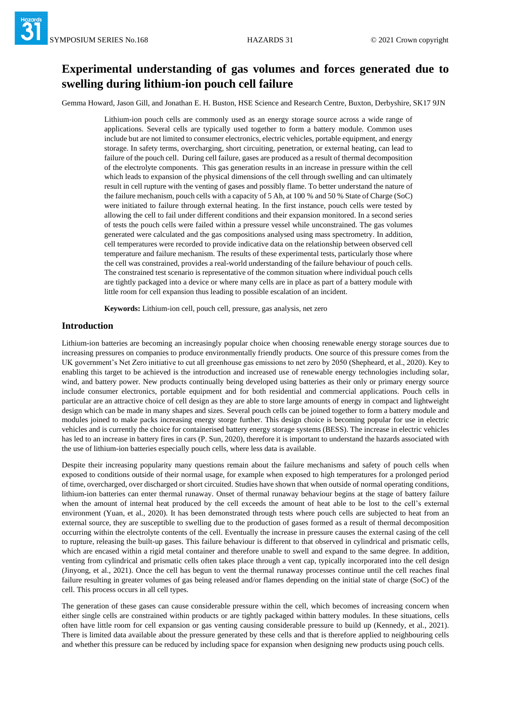# **Experimental understanding of gas volumes and forces generated due to swelling during lithium-ion pouch cell failure**

Gemma Howard, Jason Gill, and Jonathan E. H. Buston, HSE Science and Research Centre, Buxton, Derbyshire, SK17 9JN

Lithium-ion pouch cells are commonly used as an energy storage source across a wide range of applications. Several cells are typically used together to form a battery module. Common uses include but are not limited to consumer electronics, electric vehicles, portable equipment, and energy storage. In safety terms, overcharging, short circuiting, penetration, or external heating, can lead to failure of the pouch cell. During cell failure, gases are produced as a result of thermal decomposition of the electrolyte components. This gas generation results in an increase in pressure within the cell which leads to expansion of the physical dimensions of the cell through swelling and can ultimately result in cell rupture with the venting of gases and possibly flame. To better understand the nature of the failure mechanism, pouch cells with a capacity of 5 Ah, at 100 % and 50 % State of Charge (SoC) were initiated to failure through external heating. In the first instance, pouch cells were tested by allowing the cell to fail under different conditions and their expansion monitored. In a second series of tests the pouch cells were failed within a pressure vessel while unconstrained. The gas volumes generated were calculated and the gas compositions analysed using mass spectrometry. In addition, cell temperatures were recorded to provide indicative data on the relationship between observed cell temperature and failure mechanism. The results of these experimental tests, particularly those where the cell was constrained, provides a real-world understanding of the failure behaviour of pouch cells. The constrained test scenario is representative of the common situation where individual pouch cells are tightly packaged into a device or where many cells are in place as part of a battery module with little room for cell expansion thus leading to possible escalation of an incident.

**Keywords:** Lithium-ion cell, pouch cell, pressure, gas analysis, net zero

#### **Introduction**

Lithium-ion batteries are becoming an increasingly popular choice when choosing renewable energy storage sources due to increasing pressures on companies to produce environmentally friendly products. One source of this pressure comes from the UK government's Net Zero initiative to cut all greenhouse gas emissions to net zero by 2050 (Shepheard, et al., 2020). Key to enabling this target to be achieved is the introduction and increased use of renewable energy technologies including solar, wind, and battery power. New products continually being developed using batteries as their only or primary energy source include consumer electronics, portable equipment and for both residential and commercial applications. Pouch cells in particular are an attractive choice of cell design as they are able to store large amounts of energy in compact and lightweight design which can be made in many shapes and sizes. Several pouch cells can be joined together to form a battery module and modules joined to make packs increasing energy storge further. This design choice is becoming popular for use in electric vehicles and is currently the choice for containerised battery energy storage systems (BESS). The increase in electric vehicles has led to an increase in battery fires in cars (P. Sun, 2020), therefore it is important to understand the hazards associated with the use of lithium-ion batteries especially pouch cells, where less data is available.

Despite their increasing popularity many questions remain about the failure mechanisms and safety of pouch cells when exposed to conditions outside of their normal usage, for example when exposed to high temperatures for a prolonged period of time, overcharged, over discharged or short circuited. Studies have shown that when outside of normal operating conditions, lithium-ion batteries can enter thermal runaway. Onset of thermal runaway behaviour begins at the stage of battery failure when the amount of internal heat produced by the cell exceeds the amount of heat able to be lost to the cell's external environment (Yuan, et al., 2020). It has been demonstrated through tests where pouch cells are subjected to heat from an external source, they are susceptible to swelling due to the production of gases formed as a result of thermal decomposition occurring within the electrolyte contents of the cell. Eventually the increase in pressure causes the external casing of the cell to rupture, releasing the built-up gases. This failure behaviour is different to that observed in cylindrical and prismatic cells, which are encased within a rigid metal container and therefore unable to swell and expand to the same degree. In addition, venting from cylindrical and prismatic cells often takes place through a vent cap, typically incorporated into the cell design (Jinyong, et al., 2021). Once the cell has begun to vent the thermal runaway processes continue until the cell reaches final failure resulting in greater volumes of gas being released and/or flames depending on the initial state of charge (SoC) of the cell. This process occurs in all cell types.

The generation of these gases can cause considerable pressure within the cell, which becomes of increasing concern when either single cells are constrained within products or are tightly packaged within battery modules. In these situations, cells often have little room for cell expansion or gas venting causing considerable pressure to build up (Kennedy, et al., 2021). There is limited data available about the pressure generated by these cells and that is therefore applied to neighbouring cells and whether this pressure can be reduced by including space for expansion when designing new products using pouch cells.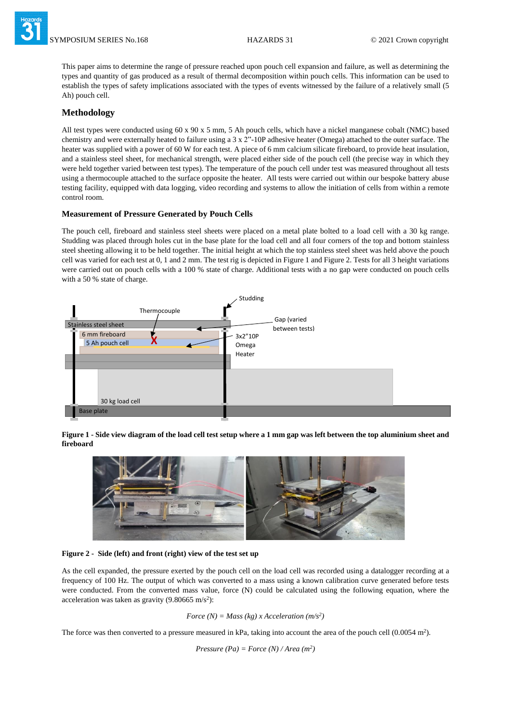MPOSIUM SERIES No.168 **HAZARDS 31** © 2021 Crown copyright

This paper aims to determine the range of pressure reached upon pouch cell expansion and failure, as well as determining the types and quantity of gas produced as a result of thermal decomposition within pouch cells. This information can be used to establish the types of safety implications associated with the types of events witnessed by the failure of a relatively small (5 Ah) pouch cell.

## **Methodology**

All test types were conducted using 60 x 90 x 5 mm, 5 Ah pouch cells, which have a nickel manganese cobalt (NMC) based chemistry and were externally heated to failure using a  $3 \times 2$ "-10P adhesive heater (Omega) attached to the outer surface. The heater was supplied with a power of 60 W for each test. A piece of 6 mm calcium silicate fireboard, to provide heat insulation, and a stainless steel sheet, for mechanical strength, were placed either side of the pouch cell (the precise way in which they were held together varied between test types). The temperature of the pouch cell under test was measured throughout all tests using a thermocouple attached to the surface opposite the heater. All tests were carried out within our bespoke battery abuse testing facility, equipped with data logging, video recording and systems to allow the initiation of cells from within a remote control room.

#### **Measurement of Pressure Generated by Pouch Cells**

The pouch cell, fireboard and stainless steel sheets were placed on a metal plate bolted to a load cell with a 30 kg range. Studding was placed through holes cut in the base plate for the load cell and all four corners of the top and bottom stainless steel sheeting allowing it to be held together. The initial height at which the top stainless steel sheet was held above the pouch cell was varied for each test at 0, 1 and 2 mm. The test rig is depicted in Figure 1 and Figure 2. Tests for all 3 height variations were carried out on pouch cells with a 100 % state of charge. Additional tests with a no gap were conducted on pouch cells with a 50 % state of charge.



**Figure 1 - Side view diagram of the load cell test setup where a 1 mm gap was left between the top aluminium sheet and fireboard**



**Figure 2 - Side (left) and front (right) view of the test set up**

As the cell expanded, the pressure exerted by the pouch cell on the load cell was recorded using a datalogger recording at a frequency of 100 Hz. The output of which was converted to a mass using a known calibration curve generated before tests were conducted. From the converted mass value, force (N) could be calculated using the following equation, where the acceleration was taken as gravity  $(9.80665 \text{ m/s}^2)$ :

*Force (N) = Mass (kg) x Acceleration (m/s<sup>2</sup> )*

The force was then converted to a pressure measured in kPa, taking into account the area of the pouch cell  $(0.0054 \text{ m}^2)$ .

*Pressure (Pa)* = *Force (N)* / *Area (m<sup>2</sup>)*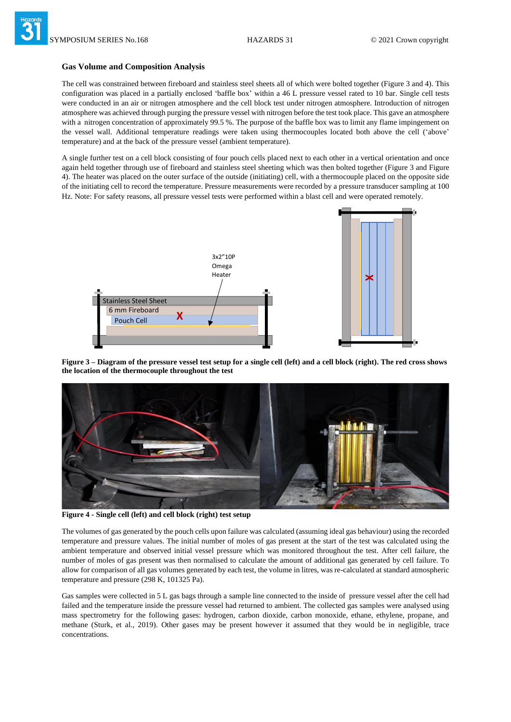#### **Gas Volume and Composition Analysis**

The cell was constrained between fireboard and stainless steel sheets all of which were bolted together (Figure 3 and 4). This configuration was placed in a partially enclosed 'baffle box' within a 46 L pressure vessel rated to 10 bar. Single cell tests were conducted in an air or nitrogen atmosphere and the cell block test under nitrogen atmosphere. Introduction of nitrogen atmosphere was achieved through purging the pressure vessel with nitrogen before the test took place. This gave an atmosphere with a nitrogen concentration of approximately 99.5 %. The purpose of the baffle box was to limit any flame impingement on the vessel wall. Additional temperature readings were taken using thermocouples located both above the cell ('above' temperature) and at the back of the pressure vessel (ambient temperature).

A single further test on a cell block consisting of four pouch cells placed next to each other in a vertical orientation and once again held together through use of fireboard and stainless steel sheeting which was then bolted together (Figure 3 and Figure 4). The heater was placed on the outer surface of the outside (initiating) cell, with a thermocouple placed on the opposite side of the initiating cell to record the temperature. Pressure measurements were recorded by a pressure transducer sampling at 100 Hz. Note: For safety reasons, all pressure vessel tests were performed within a blast cell and were operated remotely.



**Figure 3 – Diagram of the pressure vessel test setup for a single cell (left) and a cell block (right). The red cross shows the location of the thermocouple throughout the test**



**Figure 4 - Single cell (left) and cell block (right) test setup**

The volumes of gas generated by the pouch cells upon failure was calculated (assuming ideal gas behaviour) using the recorded temperature and pressure values. The initial number of moles of gas present at the start of the test was calculated using the ambient temperature and observed initial vessel pressure which was monitored throughout the test. After cell failure, the number of moles of gas present was then normalised to calculate the amount of additional gas generated by cell failure. To allow for comparison of all gas volumes generated by each test, the volume in litres, was re-calculated at standard atmospheric temperature and pressure (298 K, 101325 Pa).

Gas samples were collected in 5 L gas bags through a sample line connected to the inside of pressure vessel after the cell had failed and the temperature inside the pressure vessel had returned to ambient. The collected gas samples were analysed using mass spectrometry for the following gases: hydrogen, carbon dioxide, carbon monoxide, ethane, ethylene, propane, and methane (Sturk, et al., 2019). Other gases may be present however it assumed that they would be in negligible, trace concentrations.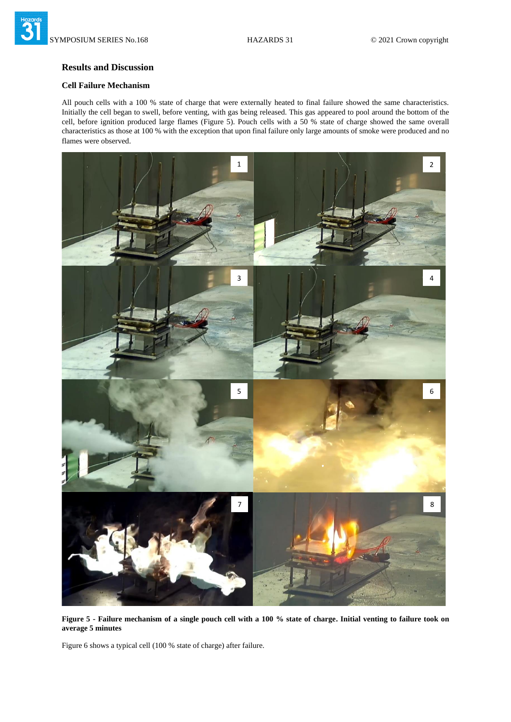## **Results and Discussion**

## **Cell Failure Mechanism**

All pouch cells with a 100 % state of charge that were externally heated to final failure showed the same characteristics. Initially the cell began to swell, before venting, with gas being released. This gas appeared to pool around the bottom of the cell, before ignition produced large flames (Figure 5). Pouch cells with a 50 % state of charge showed the same overall characteristics as those at 100 % with the exception that upon final failure only large amounts of smoke were produced and no flames were observed.



**Figure 5 - Failure mechanism of a single pouch cell with a 100 % state of charge. Initial venting to failure took on average 5 minutes**

Figure 6 shows a typical cell (100 % state of charge) after failure.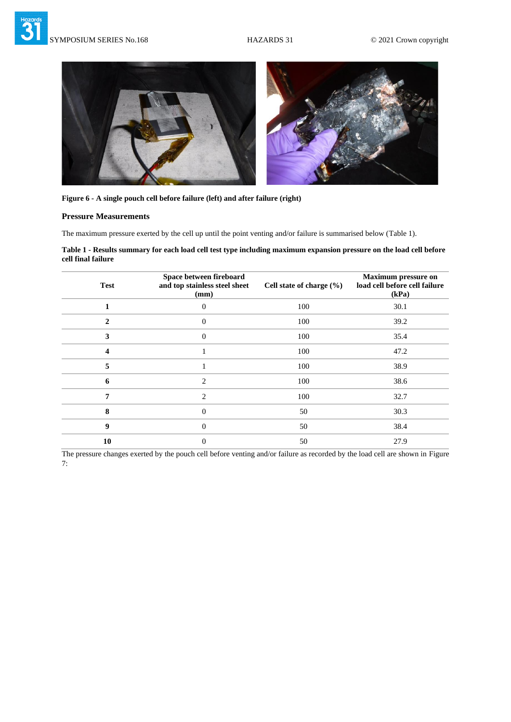

|  | Figure 6 - A single pouch cell before failure (left) and after failure (right) |  |  |
|--|--------------------------------------------------------------------------------|--|--|
|  |                                                                                |  |  |

#### **Pressure Measurements**

The maximum pressure exerted by the cell up until the point venting and/or failure is summarised below (Table 1).

**Table 1 - Results summary for each load cell test type including maximum expansion pressure on the load cell before cell final failure**

| <b>Test</b>  | Space between fireboard<br>and top stainless steel sheet<br>(mm) | Cell state of charge (%) | <b>Maximum pressure on</b><br>load cell before cell failure<br>(kPa) |
|--------------|------------------------------------------------------------------|--------------------------|----------------------------------------------------------------------|
|              | 0                                                                | 100                      | 30.1                                                                 |
| $\mathbf{2}$ | $\overline{0}$                                                   | 100                      | 39.2                                                                 |
| 3            | $\theta$                                                         | 100                      | 35.4                                                                 |
| 4            |                                                                  | 100                      | 47.2                                                                 |
| 5            |                                                                  | 100                      | 38.9                                                                 |
| 6            | $\mathfrak{D}$                                                   | 100                      | 38.6                                                                 |
| 7            | $\overline{2}$                                                   | 100                      | 32.7                                                                 |
| 8            | $\theta$                                                         | 50                       | 30.3                                                                 |
| 9            | $\overline{0}$                                                   | 50                       | 38.4                                                                 |
| 10           | $\theta$                                                         | 50                       | 27.9                                                                 |

The pressure changes exerted by the pouch cell before venting and/or failure as recorded by the load cell are shown in Figure 7: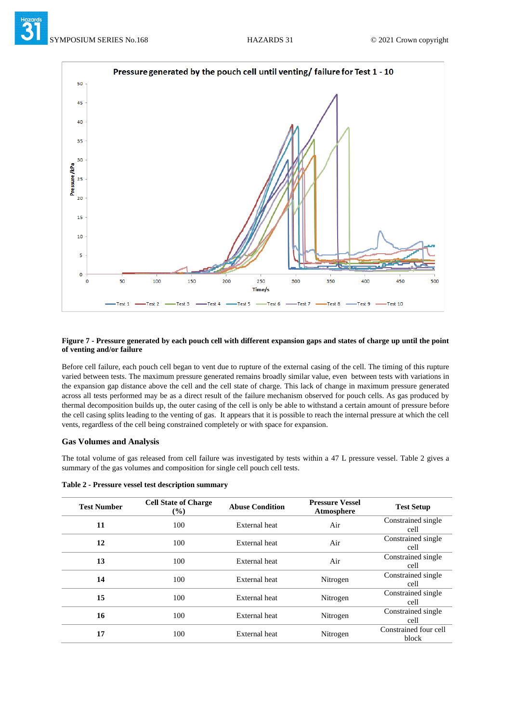



#### **Figure 7 - Pressure generated by each pouch cell with different expansion gaps and states of charge up until the point of venting and/or failure**

Before cell failure, each pouch cell began to vent due to rupture of the external casing of the cell. The timing of this rupture varied between tests. The maximum pressure generated remains broadly similar value, even between tests with variations in the expansion gap distance above the cell and the cell state of charge. This lack of change in maximum pressure generated across all tests performed may be as a direct result of the failure mechanism observed for pouch cells. As gas produced by thermal decomposition builds up, the outer casing of the cell is only be able to withstand a certain amount of pressure before the cell casing splits leading to the venting of gas. It appears that it is possible to reach the internal pressure at which the cell vents, regardless of the cell being constrained completely or with space for expansion.

#### **Gas Volumes and Analysis**

The total volume of gas released from cell failure was investigated by tests within a 47 L pressure vessel. Table 2 gives a summary of the gas volumes and composition for single cell pouch cell tests.

| <b>Test Number</b> | <b>Cell State of Charge</b><br>$\frac{9}{6}$ | <b>Abuse Condition</b> | <b>Pressure Vessel</b><br>Atmosphere |
|--------------------|----------------------------------------------|------------------------|--------------------------------------|
|                    | 100                                          | External heat          | Air                                  |
|                    | 100                                          | External heat          |                                      |

| Table 2 - Pressure vessel test description summary |  |  |  |  |
|----------------------------------------------------|--|--|--|--|
|----------------------------------------------------|--|--|--|--|

| <b>Test Number</b> | <b>Cell State of Charge</b><br>$(\%)$ | <b>Abuse Condition</b> | <b>Pressure Vessel</b><br>Atmosphere | <b>Test Setup</b>              |
|--------------------|---------------------------------------|------------------------|--------------------------------------|--------------------------------|
| 11                 | 100                                   | External heat          | Air                                  | Constrained single<br>cell     |
| 12                 | 100                                   | External heat          | Air                                  | Constrained single<br>cell     |
| 13                 | 100                                   | External heat          | Air                                  | Constrained single<br>cell     |
| 14                 | 100                                   | External heat          | Nitrogen                             | Constrained single<br>cell     |
| 15                 | 100                                   | External heat          | Nitrogen                             | Constrained single<br>cell     |
| 16                 | 100                                   | External heat          | Nitrogen                             | Constrained single<br>cell     |
| 17                 | 100                                   | External heat          | Nitrogen                             | Constrained four cell<br>block |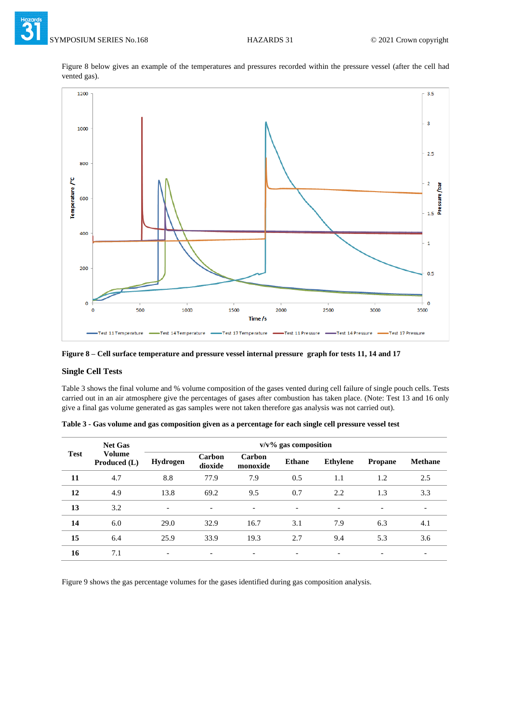Figure 8 below gives an example of the temperatures and pressures recorded within the pressure vessel (after the cell had vented gas).





### **Single Cell Tests**

Table 3 shows the final volume and % volume composition of the gases vented during cell failure of single pouch cells. Tests carried out in an air atmosphere give the percentages of gases after combustion has taken place. (Note: Test 13 and 16 only give a final gas volume generated as gas samples were not taken therefore gas analysis was not carried out).

| <b>Test</b> | <b>Net Gas</b>                | $v/v\%$ gas composition  |                          |                          |                          |                 |                |                          |
|-------------|-------------------------------|--------------------------|--------------------------|--------------------------|--------------------------|-----------------|----------------|--------------------------|
|             | <b>Volume</b><br>Produced (L) | Hydrogen                 | Carbon<br>dioxide        | Carbon<br>monoxide       | <b>Ethane</b>            | <b>Ethylene</b> | <b>Propane</b> | <b>Methane</b>           |
| 11          | 4.7                           | 8.8                      | 77.9                     | 7.9                      | 0.5                      | 1.1             | 1.2            | 2.5                      |
| 12          | 4.9                           | 13.8                     | 69.2                     | 9.5                      | 0.7                      | 2.2             | 1.3            | 3.3                      |
| 13          | 3.2                           | $\overline{\phantom{a}}$ | $\overline{\phantom{a}}$ | $\overline{\phantom{a}}$ | $\overline{\phantom{0}}$ | -               | -              | $\overline{\phantom{a}}$ |
| 14          | 6.0                           | 29.0                     | 32.9                     | 16.7                     | 3.1                      | 7.9             | 6.3            | 4.1                      |
| 15          | 6.4                           | 25.9                     | 33.9                     | 19.3                     | 2.7                      | 9.4             | 5.3            | 3.6                      |
| 16          | 7.1                           |                          | $\overline{\phantom{0}}$ | $\overline{\phantom{a}}$ |                          |                 |                |                          |

**Table 3 - Gas volume and gas composition given as a percentage for each single cell pressure vessel test**

Figure 9 shows the gas percentage volumes for the gases identified during gas composition analysis.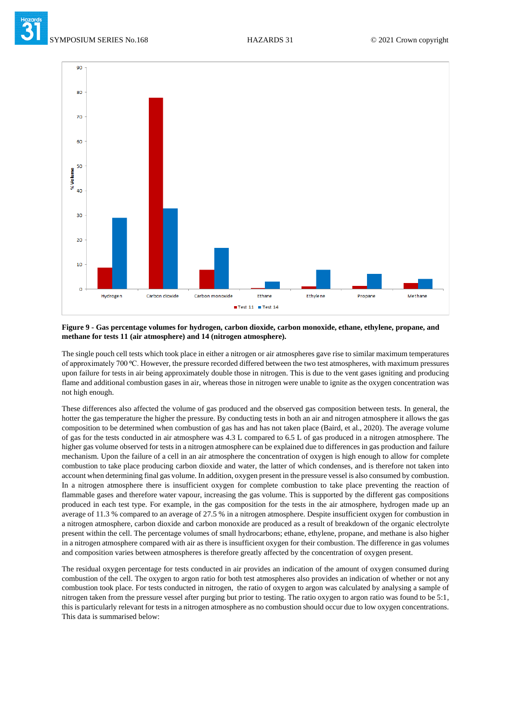

#### **Figure 9 - Gas percentage volumes for hydrogen, carbon dioxide, carbon monoxide, ethane, ethylene, propane, and methane for tests 11 (air atmosphere) and 14 (nitrogen atmosphere).**

The single pouch cell tests which took place in either a nitrogen or air atmospheres gave rise to similar maximum temperatures of approximately 700 °C. However, the pressure recorded differed between the two test atmospheres, with maximum pressures upon failure for tests in air being approximately double those in nitrogen. This is due to the vent gases igniting and producing flame and additional combustion gases in air, whereas those in nitrogen were unable to ignite as the oxygen concentration was not high enough.

These differences also affected the volume of gas produced and the observed gas composition between tests. In general, the hotter the gas temperature the higher the pressure. By conducting tests in both an air and nitrogen atmosphere it allows the gas composition to be determined when combustion of gas has and has not taken place (Baird, et al., 2020). The average volume of gas for the tests conducted in air atmosphere was 4.3 L compared to 6.5 L of gas produced in a nitrogen atmosphere. The higher gas volume observed for tests in a nitrogen atmosphere can be explained due to differences in gas production and failure mechanism. Upon the failure of a cell in an air atmosphere the concentration of oxygen is high enough to allow for complete combustion to take place producing carbon dioxide and water, the latter of which condenses, and is therefore not taken into account when determining final gas volume. In addition, oxygen present in the pressure vessel is also consumed by combustion. In a nitrogen atmosphere there is insufficient oxygen for complete combustion to take place preventing the reaction of flammable gases and therefore water vapour, increasing the gas volume. This is supported by the different gas compositions produced in each test type. For example, in the gas composition for the tests in the air atmosphere, hydrogen made up an average of 11.3 % compared to an average of 27.5 % in a nitrogen atmosphere. Despite insufficient oxygen for combustion in a nitrogen atmosphere, carbon dioxide and carbon monoxide are produced as a result of breakdown of the organic electrolyte present within the cell. The percentage volumes of small hydrocarbons; ethane, ethylene, propane, and methane is also higher in a nitrogen atmosphere compared with air as there is insufficient oxygen for their combustion. The difference in gas volumes and composition varies between atmospheres is therefore greatly affected by the concentration of oxygen present.

The residual oxygen percentage for tests conducted in air provides an indication of the amount of oxygen consumed during combustion of the cell. The oxygen to argon ratio for both test atmospheres also provides an indication of whether or not any combustion took place. For tests conducted in nitrogen, the ratio of oxygen to argon was calculated by analysing a sample of nitrogen taken from the pressure vessel after purging but prior to testing. The ratio oxygen to argon ratio was found to be 5:1, this is particularly relevant for tests in a nitrogen atmosphere as no combustion should occur due to low oxygen concentrations. This data is summarised below: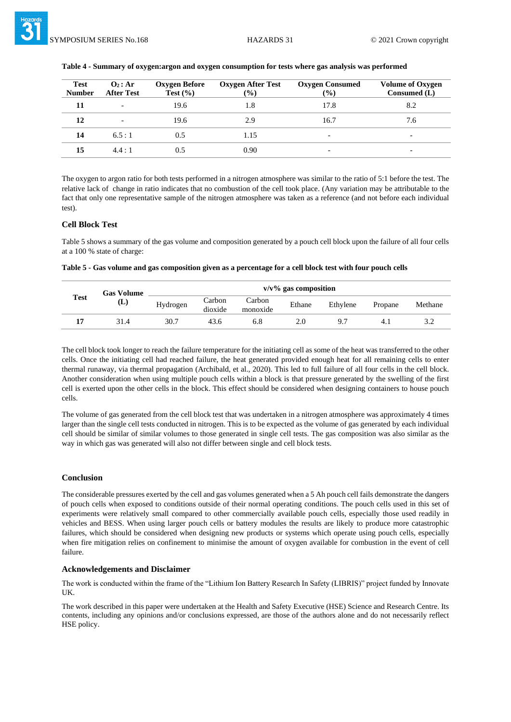| <b>Test</b><br><b>Number</b> | $\mathbf{O}_2$ : Ar<br><b>After Test</b> | Oxygen Before<br>Test $(\% )$ | Oxygen After Test<br>$(\%)$ | <b>Oxygen Consumed</b><br>$\frac{9}{6}$ | <b>Volume of Oxygen</b><br>Consumed $(L)$ |
|------------------------------|------------------------------------------|-------------------------------|-----------------------------|-----------------------------------------|-------------------------------------------|
| 11                           |                                          | 19.6                          | 1.8                         | 17.8                                    | 8.2                                       |
| 12                           |                                          | 19.6                          | 2.9                         | 16.7                                    | 7.6                                       |
| 14                           | 6.5:1                                    | 0.5                           | 1.15                        | $\overline{\phantom{0}}$                | $\overline{\phantom{0}}$                  |
| 15                           | 4.4:1                                    | 0.5                           | 0.90                        | $\overline{\phantom{0}}$                | $\overline{\phantom{0}}$                  |
|                              |                                          |                               |                             |                                         |                                           |

#### **Table 4 - Summary of oxygen:argon and oxygen consumption for tests where gas analysis was performed**

The oxygen to argon ratio for both tests performed in a nitrogen atmosphere was similar to the ratio of 5:1 before the test. The relative lack of change in ratio indicates that no combustion of the cell took place. (Any variation may be attributable to the fact that only one representative sample of the nitrogen atmosphere was taken as a reference (and not before each individual test).

#### **Cell Block Test**

Table 5 shows a summary of the gas volume and composition generated by a pouch cell block upon the failure of all four cells at a 100 % state of charge:

**Table 5 - Gas volume and gas composition given as a percentage for a cell block test with four pouch cells** 

| <b>Test</b> | <b>Gas Volume</b> |          |                   | $v/v\%$ gas composition |        |          |         |         |  |
|-------------|-------------------|----------|-------------------|-------------------------|--------|----------|---------|---------|--|
|             | (L)               | Hydrogen | Carbon<br>dioxide | Carbon<br>monoxide      | Ethane | Ethylene | Propane | Methane |  |
|             | 31.4              | 30.7     | 43.6              | 6.8                     | 2.0    | 9.7      | 4.1     | ے . ۔   |  |

The cell block took longer to reach the failure temperature for the initiating cell as some of the heat was transferred to the other cells. Once the initiating cell had reached failure, the heat generated provided enough heat for all remaining cells to enter thermal runaway, via thermal propagation (Archibald, et al., 2020). This led to full failure of all four cells in the cell block. Another consideration when using multiple pouch cells within a block is that pressure generated by the swelling of the first cell is exerted upon the other cells in the block. This effect should be considered when designing containers to house pouch cells.

The volume of gas generated from the cell block test that was undertaken in a nitrogen atmosphere was approximately 4 times larger than the single cell tests conducted in nitrogen. This is to be expected as the volume of gas generated by each individual cell should be similar of similar volumes to those generated in single cell tests. The gas composition was also similar as the way in which gas was generated will also not differ between single and cell block tests.

#### **Conclusion**

The considerable pressures exerted by the cell and gas volumes generated when a 5 Ah pouch cell fails demonstrate the dangers of pouch cells when exposed to conditions outside of their normal operating conditions. The pouch cells used in this set of experiments were relatively small compared to other commercially available pouch cells, especially those used readily in vehicles and BESS. When using larger pouch cells or battery modules the results are likely to produce more catastrophic failures, which should be considered when designing new products or systems which operate using pouch cells, especially when fire mitigation relies on confinement to minimise the amount of oxygen available for combustion in the event of cell failure.

#### **Acknowledgements and Disclaimer**

The work is conducted within the frame of the "Lithium Ion Battery Research In Safety (LIBRIS)" project funded by Innovate UK.

The work described in this paper were undertaken at the Health and Safety Executive (HSE) Science and Research Centre. Its contents, including any opinions and/or conclusions expressed, are those of the authors alone and do not necessarily reflect HSE policy.